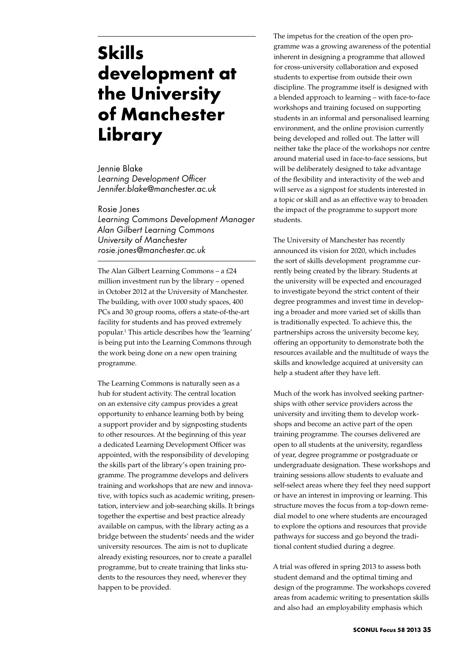## **Skills development at the University of Manchester Library**

Jennie Blake *Learning Development Officer Jennifer.blake@manchester.ac.uk*

Rosie Jones *Learning Commons Development Manager Alan Gilbert Learning Commons University of Manchester rosie.jones@manchester.ac.uk*

The Alan Gilbert Learning Commons – a £24 million investment run by the library – opened in October 2012 at the University of Manchester. The building, with over 1000 study spaces, 400 PCs and 30 group rooms, offers a state-of-the-art facility for students and has proved extremely popular.1 This article describes how the 'learning' is being put into the Learning Commons through the work being done on a new open training programme.

The Learning Commons is naturally seen as a hub for student activity. The central location on an extensive city campus provides a great opportunity to enhance learning both by being a support provider and by signposting students to other resources. At the beginning of this year a dedicated Learning Development Officer was appointed, with the responsibility of developing the skills part of the library's open training programme. The programme develops and delivers training and workshops that are new and innovative, with topics such as academic writing, presentation, interview and job-searching skills. It brings together the expertise and best practice already available on campus, with the library acting as a bridge between the students' needs and the wider university resources. The aim is not to duplicate already existing resources, nor to create a parallel programme, but to create training that links students to the resources they need, wherever they happen to be provided.

The impetus for the creation of the open programme was a growing awareness of the potential inherent in designing a programme that allowed for cross-university collaboration and exposed students to expertise from outside their own discipline. The programme itself is designed with a blended approach to learning – with face-to-face workshops and training focused on supporting students in an informal and personalised learning environment, and the online provision currently being developed and rolled out. The latter will neither take the place of the workshops nor centre around material used in face-to-face sessions, but will be deliberately designed to take advantage of the flexibility and interactivity of the web and will serve as a signpost for students interested in a topic or skill and as an effective way to broaden the impact of the programme to support more students.

The University of Manchester has recently announced its vision for 2020, which includes the sort of skills development programme currently being created by the library. Students at the university will be expected and encouraged to investigate beyond the strict content of their degree programmes and invest time in developing a broader and more varied set of skills than is traditionally expected. To achieve this, the partnerships across the university become key, offering an opportunity to demonstrate both the resources available and the multitude of ways the skills and knowledge acquired at university can help a student after they have left.

Much of the work has involved seeking partnerships with other service providers across the university and inviting them to develop workshops and become an active part of the open training programme. The courses delivered are open to all students at the university, regardless of year, degree programme or postgraduate or undergraduate designation. These workshops and training sessions allow students to evaluate and self-select areas where they feel they need support or have an interest in improving or learning. This structure moves the focus from a top-down remedial model to one where students are encouraged to explore the options and resources that provide pathways for success and go beyond the traditional content studied during a degree.

A trial was offered in spring 2013 to assess both student demand and the optimal timing and design of the programme. The workshops covered areas from academic writing to presentation skills and also had an employability emphasis which